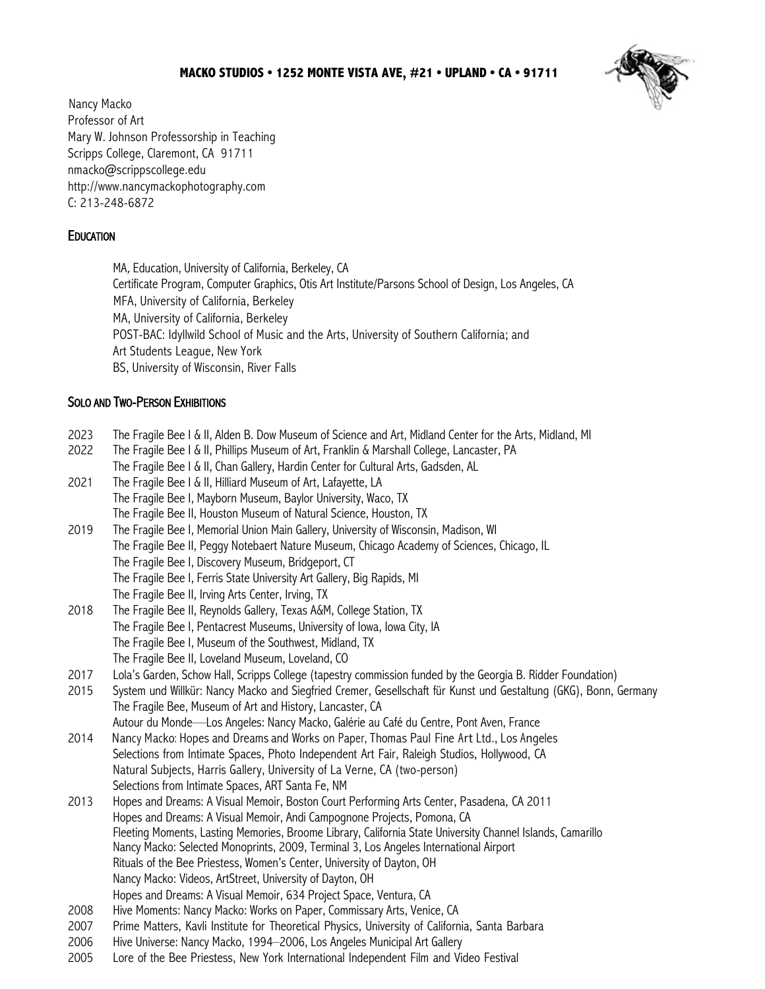## **MACKO STUDIOS • 1252 MONTE VISTA AVE, #21 • UPLAND • CA • 91711**



Nancy Macko Professor of Art Mary W. Johnson Professorship in Teaching Scripps College, Claremont, CA 91711 nmacko@scrippscollege.edu http://www.nancymackophotography.com C: 213-248-6872

# **EDUCATION**

 MA, Education, University of California, Berkeley, CA Certificate Program, Computer Graphics, Otis Art Institute/Parsons School of Design, Los Angeles, CA MFA, University of California, Berkeley MA, University of California, Berkeley POST-BAC: Idyllwild School of Music and the Arts, University of Southern California; and Art Students League, New York BS, University of Wisconsin, River Falls

## SOLO AND TWO-PERSON EXHIBITIONS

- 2023 The Fragile Bee I & II, Alden B. Dow Museum of Science and Art, Midland Center for the Arts, Midland, MI
- 2022 The Fragile Bee I & II, Phillips Museum of Art, Franklin & Marshall College, Lancaster, PA The Fragile Bee I & II, Chan Gallery, Hardin Center for Cultural Arts, Gadsden, AL
- 2021 The Fragile Bee I & II, Hilliard Museum of Art, Lafayette, LA The Fragile Bee I, Mayborn Museum, Baylor University, Waco, TX The Fragile Bee II, Houston Museum of Natural Science, Houston, TX
- 2019 The Fragile Bee I, Memorial Union Main Gallery, University of Wisconsin, Madison, WI The Fragile Bee II, Peggy Notebaert Nature Museum, Chicago Academy of Sciences, Chicago, IL The Fragile Bee I, Discovery Museum, Bridgeport, CT The Fragile Bee I, Ferris State University Art Gallery, Big Rapids, MI The Fragile Bee II, Irving Arts Center, Irving, TX
- 2018 The Fragile Bee II, Reynolds Gallery, Texas A&M, College Station, TX The Fragile Bee I, Pentacrest Museums, University of Iowa, Iowa City, IA The Fragile Bee I, Museum of the Southwest, Midland, TX The Fragile Bee II, Loveland Museum, Loveland, CO
- 2017 Lola's Garden, Schow Hall, Scripps College (tapestry commission funded by the Georgia B. Ridder Foundation)
- 2015 System und Willkür: Nancy Macko and Siegfried Cremer, Gesellschaft für Kunst und Gestaltung (GKG), Bonn, Germany The Fragile Bee, Museum of Art and History, Lancaster, CA Autour du Monde—Los Angeles: Nancy Macko, Galérie au Café du Centre, Pont Aven, France
- 2014 Nancy Macko: Hopes and Dreams and Works on Paper, Thomas Paul Fine Art Ltd., Los Angeles Selections from Intimate Spaces, Photo Independent Art Fair, Raleigh Studios, Hollywood, CA Natural Subjects, Harris Gallery, University of La Verne, CA (two-person) Selections from Intimate Spaces, ART Santa Fe, NM
- 2013 Hopes and Dreams: A Visual Memoir, Boston Court Performing Arts Center, Pasadena, CA 2011 Hopes and Dreams: A Visual Memoir, Andi Campognone Projects, Pomona, CA Fleeting Moments, Lasting Memories, Broome Library, California State University Channel Islands, Camarillo Nancy Macko: Selected Monoprints, 2009, Terminal 3, Los Angeles International Airport Rituals of the Bee Priestess, Women's Center, University of Dayton, OH Nancy Macko: Videos, ArtStreet, University of Dayton, OH Hopes and Dreams: A Visual Memoir, 634 Project Space, Ventura, CA
- 2008 Hive Moments: Nancy Macko: Works on Paper, Commissary Arts, Venice, CA
- 2007 Prime Matters, Kavli Institute for Theoretical Physics, University of California, Santa Barbara
- 2006 Hive Universe: Nancy Macko, 1994–2006, Los Angeles Municipal Art Gallery
- 2005 Lore of the Bee Priestess, New York International Independent Film and Video Festival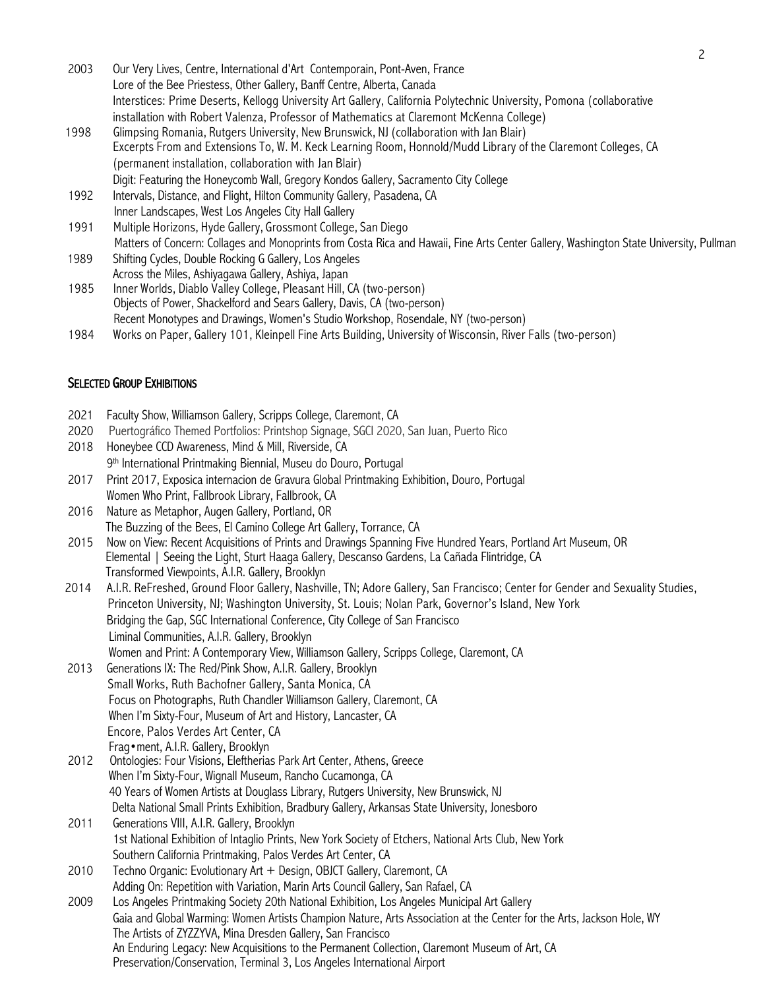- 2003 Our Very Lives, Centre, International d'Art Contemporain, Pont-Aven, France Lore of the Bee Priestess, Other Gallery, Banff Centre, Alberta, Canada Interstices: Prime Deserts, Kellogg University Art Gallery, California Polytechnic University, Pomona (collaborative installation with Robert Valenza, Professor of Mathematics at Claremont McKenna College) 1998 Glimpsing Romania, Rutgers University, New Brunswick, NJ (collaboration with Jan Blair) Excerpts From and Extensions To, W. M. Keck Learning Room, Honnold/Mudd Library of the Claremont Colleges, CA
- (permanent installation, collaboration with Jan Blair) Digit: Featuring the Honeycomb Wall, Gregory Kondos Gallery, Sacramento City College
- 1992 Intervals, Distance, and Flight, Hilton Community Gallery, Pasadena, CA
- Inner Landscapes, West Los Angeles City Hall Gallery
- 1991 Multiple Horizons, Hyde Gallery, Grossmont College, San Diego Matters of Concern: Collages and Monoprints from Costa Rica and Hawaii, Fine Arts Center Gallery, Washington State University, Pullman
- 1989 Shifting Cycles, Double Rocking G Gallery, Los Angeles Across the Miles, Ashiyagawa Gallery, Ashiya, Japan
- 1985 Inner Worlds, Diablo Valley College, Pleasant Hill, CA (two-person) Objects of Power, Shackelford and Sears Gallery, Davis, CA (two-person) Recent Monotypes and Drawings, Women's Studio Workshop, Rosendale, NY (two-person)
- 1984 Works on Paper, Gallery 101, Kleinpell Fine Arts Building, University of Wisconsin, River Falls (two-person)

## SELECTED GROUP EXHIBITIONS

- 2021 Faculty Show, Williamson Gallery, Scripps College, Claremont, CA
- 2020 Puertográfico Themed Portfolios: Printshop Signage, SGCI 2020, San Juan, Puerto Rico
- 2018 Honeybee CCD Awareness, Mind & Mill, Riverside, CA 9th International Printmaking Biennial, Museu do Douro, Portugal
- 2017 Print 2017, Exposica internacion de Gravura Global Printmaking Exhibition, Douro, Portugal Women Who Print, Fallbrook Library, Fallbrook, CA
- 2016 Nature as Metaphor, Augen Gallery, Portland, OR The Buzzing of the Bees, El Camino College Art Gallery, Torrance, CA
- 2015 Now on View: Recent Acquisitions of Prints and Drawings Spanning Five Hundred Years, Portland Art Museum, OR Elemental | Seeing the Light, Sturt Haaga Gallery, Descanso Gardens, La Cañada Flintridge, CA Transformed Viewpoints, A.I.R. Gallery, Brooklyn
- 2014 A.I.R. ReFreshed, Ground Floor Gallery, Nashville, TN; Adore Gallery, San Francisco; Center for Gender and Sexuality Studies, Princeton University, NJ; Washington University, St. Louis; Nolan Park, Governor's Island, New York Bridging the Gap, SGC International Conference, City College of San Francisco Liminal Communities, A.I.R. Gallery, Brooklyn Women and Print: A Contemporary View, Williamson Gallery, Scripps College, Claremont, CA
- 2013 Generations IX: The Red/Pink Show, A.I.R. Gallery, Brooklyn Small Works, Ruth Bachofner Gallery, Santa Monica, CA Focus on Photographs, Ruth Chandler Williamson Gallery, Claremont, CA When I'm Sixty-Four, Museum of Art and History, Lancaster, CA Encore, Palos Verdes Art Center, CA
- Frag•ment, A.I.R. Gallery, Brooklyn<br>2012 Dontologies: Four Visions, Eleftherias 2012 Ontologies: Four Visions, Eleftherias Park Art Center, Athens, Greece When I'm Sixty-Four, Wignall Museum, Rancho Cucamonga, CA 40 Years of Women Artists at Douglass Library, Rutgers University, New Brunswick, NJ Delta National Small Prints Exhibition, Bradbury Gallery, Arkansas State University, Jonesboro
- 2011 Generations VIII, A.I.R. Gallery, Brooklyn 1st National Exhibition of Intaglio Prints, New York Society of Etchers, National Arts Club, New York Southern California Printmaking, Palos Verdes Art Center, CA
- 2010 Techno Organic: Evolutionary Art + Design, OBJCT Gallery, Claremont, CA Adding On: Repetition with Variation, Marin Arts Council Gallery, San Rafael, CA
- 2009 Los Angeles Printmaking Society 20th National Exhibition, Los Angeles Municipal Art Gallery Gaia and Global Warming: Women Artists Champion Nature, Arts Association at the Center for the Arts, Jackson Hole, WY The Artists of ZYZZYVA, Mina Dresden Gallery, San Francisco An Enduring Legacy: New Acquisitions to the Permanent Collection, Claremont Museum of Art, CA Preservation/Conservation, Terminal 3, Los Angeles International Airport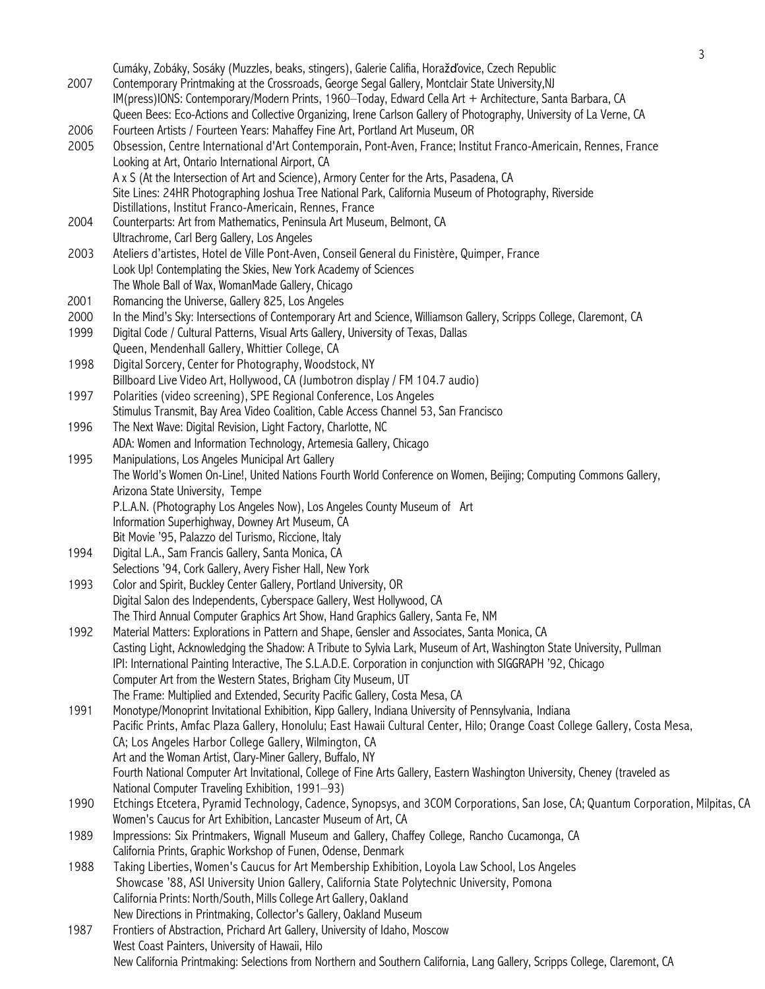|      |                                                                                                                                                                                                                         | 3 |
|------|-------------------------------------------------------------------------------------------------------------------------------------------------------------------------------------------------------------------------|---|
|      | Cumáky, Zobáky, Sosáky (Muzzles, beaks, stingers), Galerie Califia, Horažďovice, Czech Republic                                                                                                                         |   |
| 2007 | Contemporary Printmaking at the Crossroads, George Segal Gallery, Montclair State University, NJ                                                                                                                        |   |
|      | IM(press)IONS: Contemporary/Modern Prints, 1960-Today, Edward Cella Art + Architecture, Santa Barbara, CA                                                                                                               |   |
|      | Queen Bees: Eco-Actions and Collective Organizing, Irene Carlson Gallery of Photography, University of La Verne, CA                                                                                                     |   |
| 2006 | Fourteen Artists / Fourteen Years: Mahaffey Fine Art, Portland Art Museum, OR                                                                                                                                           |   |
| 2005 | Obsession, Centre International d'Art Contemporain, Pont-Aven, France; Institut Franco-Americain, Rennes, France                                                                                                        |   |
|      | Looking at Art, Ontario International Airport, CA                                                                                                                                                                       |   |
|      | A x S (At the Intersection of Art and Science), Armory Center for the Arts, Pasadena, CA                                                                                                                                |   |
|      | Site Lines: 24HR Photographing Joshua Tree National Park, California Museum of Photography, Riverside                                                                                                                   |   |
|      | Distillations, Institut Franco-Americain, Rennes, France                                                                                                                                                                |   |
| 2004 | Counterparts: Art from Mathematics, Peninsula Art Museum, Belmont, CA                                                                                                                                                   |   |
|      | Ultrachrome, Carl Berg Gallery, Los Angeles                                                                                                                                                                             |   |
| 2003 | Ateliers d'artistes, Hotel de Ville Pont-Aven, Conseil General du Finistère, Quimper, France                                                                                                                            |   |
|      | Look Up! Contemplating the Skies, New York Academy of Sciences                                                                                                                                                          |   |
|      | The Whole Ball of Wax, WomanMade Gallery, Chicago                                                                                                                                                                       |   |
| 2001 | Romancing the Universe, Gallery 825, Los Angeles                                                                                                                                                                        |   |
| 2000 | In the Mind's Sky: Intersections of Contemporary Art and Science, Williamson Gallery, Scripps College, Claremont, CA                                                                                                    |   |
| 1999 | Digital Code / Cultural Patterns, Visual Arts Gallery, University of Texas, Dallas                                                                                                                                      |   |
|      | Queen, Mendenhall Gallery, Whittier College, CA                                                                                                                                                                         |   |
| 1998 | Digital Sorcery, Center for Photography, Woodstock, NY                                                                                                                                                                  |   |
|      | Billboard Live Video Art, Hollywood, CA (Jumbotron display / FM 104.7 audio)                                                                                                                                            |   |
| 1997 | Polarities (video screening), SPE Regional Conference, Los Angeles                                                                                                                                                      |   |
|      | Stimulus Transmit, Bay Area Video Coalition, Cable Access Channel 53, San Francisco                                                                                                                                     |   |
| 1996 | The Next Wave: Digital Revision, Light Factory, Charlotte, NC                                                                                                                                                           |   |
|      | ADA: Women and Information Technology, Artemesia Gallery, Chicago                                                                                                                                                       |   |
| 1995 | Manipulations, Los Angeles Municipal Art Gallery                                                                                                                                                                        |   |
|      | The World's Women On-Line!, United Nations Fourth World Conference on Women, Beijing; Computing Commons Gallery,                                                                                                        |   |
|      | Arizona State University, Tempe                                                                                                                                                                                         |   |
|      | P.L.A.N. (Photography Los Angeles Now), Los Angeles County Museum of Art                                                                                                                                                |   |
|      | Information Superhighway, Downey Art Museum, CA                                                                                                                                                                         |   |
|      | Bit Movie '95, Palazzo del Turismo, Riccione, Italy                                                                                                                                                                     |   |
| 1994 | Digital L.A., Sam Francis Gallery, Santa Monica, CA                                                                                                                                                                     |   |
|      | Selections '94, Cork Gallery, Avery Fisher Hall, New York                                                                                                                                                               |   |
| 1993 | Color and Spirit, Buckley Center Gallery, Portland University, OR                                                                                                                                                       |   |
|      | Digital Salon des Independents, Cyberspace Gallery, West Hollywood, CA                                                                                                                                                  |   |
|      |                                                                                                                                                                                                                         |   |
|      | The Third Annual Computer Graphics Art Show, Hand Graphics Gallery, Santa Fe, NM                                                                                                                                        |   |
| 1992 | Material Matters: Explorations in Pattern and Shape, Gensler and Associates, Santa Monica, CA<br>Casting Light, Acknowledging the Shadow: A Tribute to Sylvia Lark, Museum of Art, Washington State University, Pullman |   |
|      |                                                                                                                                                                                                                         |   |
|      | IPI: International Painting Interactive, The S.L.A.D.E. Corporation in conjunction with SIGGRAPH '92, Chicago                                                                                                           |   |
|      | Computer Art from the Western States, Brigham City Museum, UT                                                                                                                                                           |   |
|      | The Frame: Multiplied and Extended, Security Pacific Gallery, Costa Mesa, CA                                                                                                                                            |   |
| 1991 | Monotype/Monoprint Invitational Exhibition, Kipp Gallery, Indiana University of Pennsylvania, Indiana                                                                                                                   |   |
|      | Pacific Prints, Amfac Plaza Gallery, Honolulu; East Hawaii Cultural Center, Hilo; Orange Coast College Gallery, Costa Mesa,                                                                                             |   |
|      | CA; Los Angeles Harbor College Gallery, Wilmington, CA                                                                                                                                                                  |   |
|      | Art and the Woman Artist, Clary-Miner Gallery, Buffalo, NY                                                                                                                                                              |   |
|      | Fourth National Computer Art Invitational, College of Fine Arts Gallery, Eastern Washington University, Cheney (traveled as                                                                                             |   |
|      | National Computer Traveling Exhibition, 1991-93)                                                                                                                                                                        |   |
| 1990 | Etchings Etcetera, Pyramid Technology, Cadence, Synopsys, and 3COM Corporations, San Jose, CA; Quantum Corporation, Milpitas, CA                                                                                        |   |
|      | Women's Caucus for Art Exhibition, Lancaster Museum of Art, CA                                                                                                                                                          |   |
| 1989 | Impressions: Six Printmakers, Wignall Museum and Gallery, Chaffey College, Rancho Cucamonga, CA                                                                                                                         |   |
|      | California Prints, Graphic Workshop of Funen, Odense, Denmark                                                                                                                                                           |   |
| 1988 | Taking Liberties, Women's Caucus for Art Membership Exhibition, Loyola Law School, Los Angeles                                                                                                                          |   |
|      | Showcase '88, ASI University Union Gallery, California State Polytechnic University, Pomona                                                                                                                             |   |
|      | California Prints: North/South, Mills College Art Gallery, Oakland                                                                                                                                                      |   |
|      | New Directions in Printmaking, Collector's Gallery, Oakland Museum                                                                                                                                                      |   |
| 1987 | Frontiers of Abstraction, Prichard Art Gallery, University of Idaho, Moscow                                                                                                                                             |   |
|      | West Coast Painters, University of Hawaii, Hilo                                                                                                                                                                         |   |
|      | New California Printmaking: Selections from Northern and Southern California, Lang Gallery, Scripps College, Claremont, CA                                                                                              |   |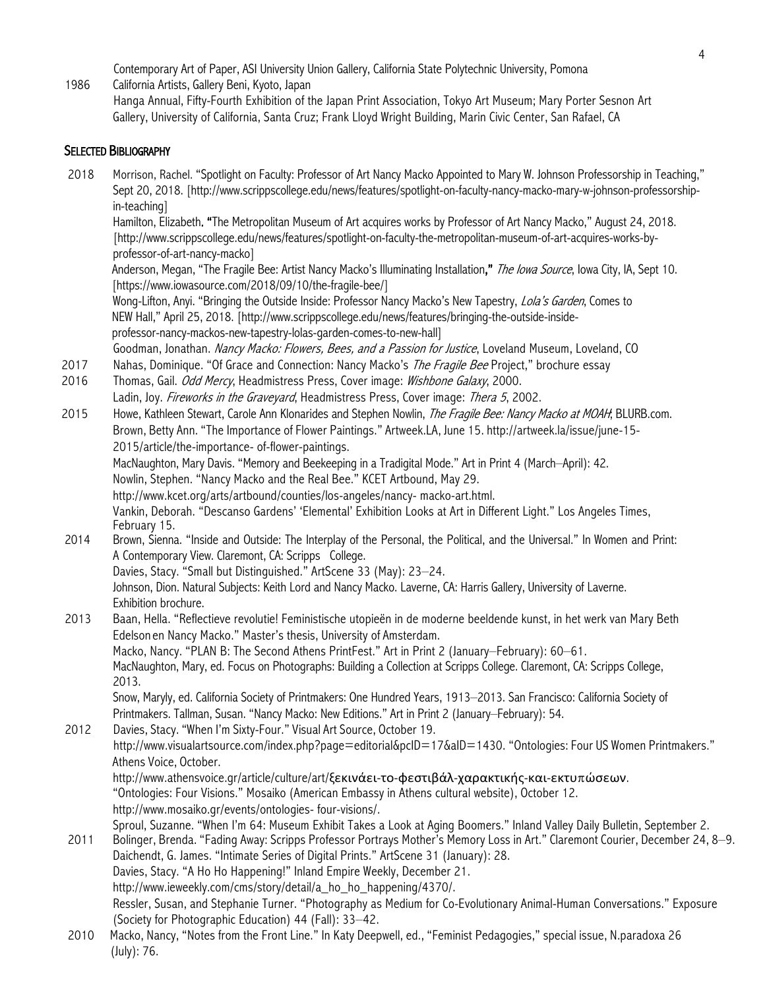Contemporary Art of Paper, ASI University Union Gallery, California State Polytechnic University, Pomona

1986 California Artists, Gallery Beni, Kyoto, Japan

Hanga Annual, Fifty-Fourth Exhibition of the Japan Print Association, Tokyo Art Museum; Mary Porter Sesnon Art Gallery, University of California, Santa Cruz; Frank Lloyd Wright Building, Marin Civic Center, San Rafael, CA

## SELECTED BIBLIOGRAPHY

2018 Morrison, Rachel. "Spotlight on Faculty: Professor of Art Nancy Macko Appointed to Mary W. Johnson Professorship in Teaching," Sept 20, 2018. [http://www.scrippscollege.edu/news/features/spotlight-on-faculty-nancy-macko-mary-w-johnson-professorship in-teaching] Hamilton, Elizabeth. "The Metropolitan Museum of Art acquires works by Professor of Art Nancy Macko," August 24, 2018. [http://www.scrippscollege.edu/news/features/spotlight-on-faculty-the-metropolitan-museum-of-art-acquires-works-by professor-of-art-nancy-macko] Anderson, Megan, "The Fragile Bee: Artist Nancy Macko's Illuminating Installation," *The Iowa Source*, Iowa City, IA, Sept 10. [https://www.iowasource.com/2018/09/10/the-fragile-bee/] Wong-Lifton, Anyi. "Bringing the Outside Inside: Professor Nancy Macko's New Tapestry, *Lola's Garden*, Comes to NEW Hall," April 25, 2018. [http://www.scrippscollege.edu/news/features/bringing-the-outside-inside professor-nancy-mackos-new-tapestry-lolas-garden-comes-to-new-hall] Goodman, Jonathan. Nancy Macko: Flowers, Bees, and a Passion for Justice, Loveland Museum, Loveland, CO 2017 Nahas, Dominique. "Of Grace and Connection: Nancy Macko's The Fragile Bee Project," brochure essay 2016 Thomas, Gail. Odd Mercy, Headmistress Press, Cover image: Wishbone Galaxy, 2000. Ladin, Joy. Fireworks in the Graveyard, Headmistress Press, Cover image: Thera 5, 2002. 2015 Howe, Kathleen Stewart, Carole Ann Klonarides and Stephen Nowlin, The Fragile Bee: Nancy Macko at MOAH; BLURB.com. Brown, Betty Ann. "The Importance of Flower Paintings." Artweek.LA, June 15. http://artweek.la/issue/june-15- 2015/article/the-importance- of-flower-paintings. MacNaughton, Mary Davis. "Memory and Beekeeping in a Tradigital Mode." Art in Print 4 (March–April): 42. Nowlin, Stephen. "Nancy Macko and the Real Bee." KCET Artbound, May 29. http://www.kcet.org/arts/artbound/counties/los-angeles/nancy- macko-art.html. Vankin, Deborah. "Descanso Gardens' 'Elemental' Exhibition Looks at Art in Different Light." Los Angeles Times, February 15. 2014 Brown, Sienna. "Inside and Outside: The Interplay of the Personal, the Political, and the Universal." In Women and Print: A Contemporary View. Claremont, CA: Scripps College. Davies, Stacy. "Small but Distinguished." ArtScene 33 (May): 23–24. Johnson, Dion. Natural Subjects: Keith Lord and Nancy Macko. Laverne, CA: Harris Gallery, University of Laverne. Exhibition brochure. 2013 Baan, Hella. "Reflectieve revolutie! Feministische utopieën in de moderne beeldende kunst, in het werk van Mary Beth Edelson en Nancy Macko." Master's thesis, University of Amsterdam. Macko, Nancy. "PLAN B: The Second Athens PrintFest." Art in Print 2 (January–February): 60–61. MacNaughton, Mary, ed. Focus on Photographs: Building a Collection at Scripps College. Claremont, CA: Scripps College, 2013. Snow, Maryly, ed. California Society of Printmakers: One Hundred Years, 1913–2013. San Francisco: California Society of Printmakers. Tallman, Susan. "Nancy Macko: New Editions." Art in Print 2 (January–February): 54. 2012 Davies, Stacy. "When I'm Sixty-Four." Visual Art Source, October 19. http://www.visualartsource.com/index.php?page=editorial&pcID=17&aID=1430. "Ontologies: Four US Women Printmakers." Athens Voice, October. http://www.athensvoice.gr/article/culture/art/ξεκινάει-το-φεστιβάλ-χαρακτικής-και-εκτυπώσεων. "Ontologies: Four Visions." Mosaiko (American Embassy in Athens cultural website), October 12. http://www.mosaiko.gr/events/ontologies- four-visions/. Sproul, Suzanne. "When I'm 64: Museum Exhibit Takes a Look at Aging Boomers." Inland Valley Daily Bulletin, September 2. 2011 Bolinger, Brenda. "Fading Away: Scripps Professor Portrays Mother's Memory Loss in Art." Claremont Courier, December 24, 8–9. Daichendt, G. James. "Intimate Series of Digital Prints." ArtScene 31 (January): 28. Davies, Stacy. "A Ho Ho Happening!" Inland Empire Weekly, December 21. http://www.ieweekly.com/cms/story/detail/a\_ho\_ho\_happening/4370/. Ressler, Susan, and Stephanie Turner. "Photography as Medium for Co-Evolutionary Animal-Human Conversations." Exposure (Society for Photographic Education) 44 (Fall): 33–42. 2010 Macko, Nancy, "Notes from the Front Line." In Katy Deepwell, ed., "Feminist Pedagogies," special issue, N.paradoxa 26 (July): 76.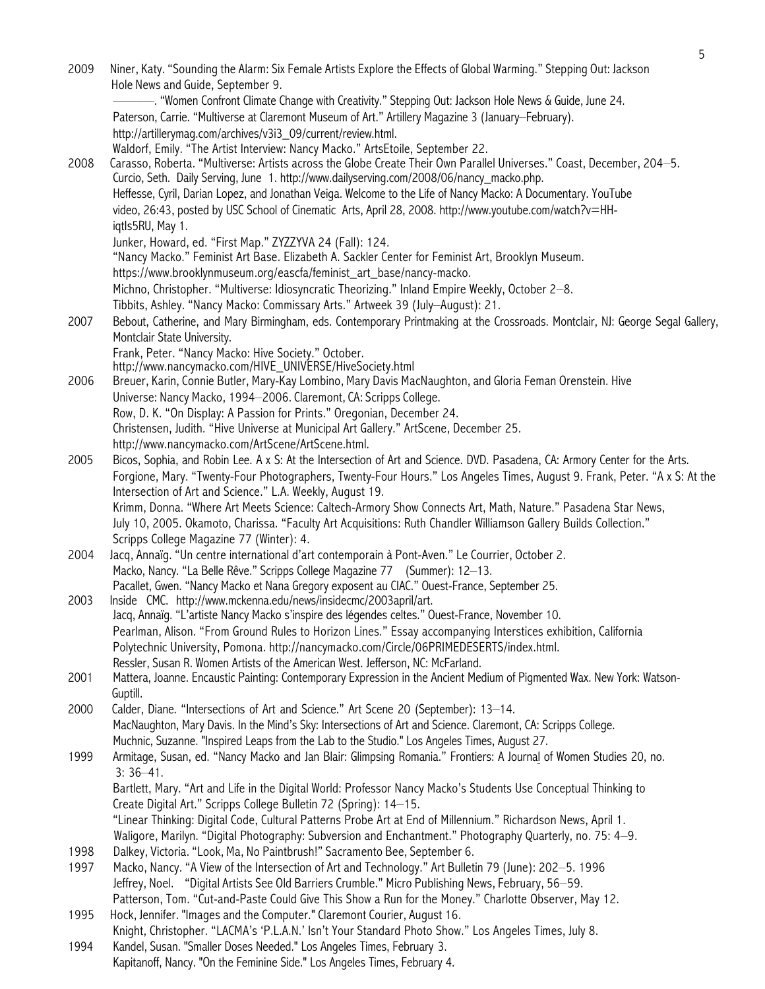|      |                                                                                                                                                                                                             | 5 |
|------|-------------------------------------------------------------------------------------------------------------------------------------------------------------------------------------------------------------|---|
| 2009 | Niner, Katy. "Sounding the Alarm: Six Female Artists Explore the Effects of Global Warming." Stepping Out: Jackson<br>Hole News and Guide, September 9.                                                     |   |
|      | - - "Women Confront Climate Change with Creativity." Stepping Out: Jackson Hole News & Guide, June 24.                                                                                                      |   |
|      | Paterson, Carrie. "Multiverse at Claremont Museum of Art." Artillery Magazine 3 (January-February).                                                                                                         |   |
|      | http://artillerymag.com/archives/v3i3_09/current/review.html.                                                                                                                                               |   |
|      | Waldorf, Emily. "The Artist Interview: Nancy Macko." ArtsEtoile, September 22.                                                                                                                              |   |
| 2008 | Carasso, Roberta. "Multiverse: Artists across the Globe Create Their Own Parallel Universes." Coast, December, 204-5.                                                                                       |   |
|      | Curcio, Seth. Daily Serving, June 1. http://www.dailyserving.com/2008/06/nancy_macko.php.                                                                                                                   |   |
|      | Heffesse, Cyril, Darian Lopez, and Jonathan Veiga. Welcome to the Life of Nancy Macko: A Documentary. YouTube                                                                                               |   |
|      | video, 26:43, posted by USC School of Cinematic Arts, April 28, 2008. http://www.youtube.com/watch?v=HH-                                                                                                    |   |
|      | iqtls5RU, May 1.                                                                                                                                                                                            |   |
|      | Junker, Howard, ed. "First Map." ZYZZYVA 24 (Fall): 124.                                                                                                                                                    |   |
|      | "Nancy Macko." Feminist Art Base. Elizabeth A. Sackler Center for Feminist Art, Brooklyn Museum.                                                                                                            |   |
|      | https://www.brooklynmuseum.org/eascfa/feminist_art_base/nancy-macko.                                                                                                                                        |   |
|      | Michno, Christopher. "Multiverse: Idiosyncratic Theorizing." Inland Empire Weekly, October 2-8.                                                                                                             |   |
|      | Tibbits, Ashley. "Nancy Macko: Commissary Arts." Artweek 39 (July-August): 21.                                                                                                                              |   |
| 2007 | Bebout, Catherine, and Mary Birmingham, eds. Contemporary Printmaking at the Crossroads. Montclair, NJ: George Segal Gallery,                                                                               |   |
|      | Montclair State University.<br>Frank, Peter. "Nancy Macko: Hive Society." October.                                                                                                                          |   |
|      | http://www.nancymacko.com/HIVE_UNIVERSE/HiveSociety.html                                                                                                                                                    |   |
| 2006 | Breuer, Karin, Connie Butler, Mary-Kay Lombino, Mary Davis MacNaughton, and Gloria Feman Orenstein. Hive                                                                                                    |   |
|      | Universe: Nancy Macko, 1994-2006. Claremont, CA: Scripps College.                                                                                                                                           |   |
|      | Row, D. K. "On Display: A Passion for Prints." Oregonian, December 24.                                                                                                                                      |   |
|      | Christensen, Judith. "Hive Universe at Municipal Art Gallery." ArtScene, December 25.                                                                                                                       |   |
|      | http://www.nancymacko.com/ArtScene/ArtScene.html.                                                                                                                                                           |   |
| 2005 | Bicos, Sophia, and Robin Lee. A x S: At the Intersection of Art and Science. DVD. Pasadena, CA: Armory Center for the Arts.                                                                                 |   |
|      | Forgione, Mary. "Twenty-Four Photographers, Twenty-Four Hours." Los Angeles Times, August 9. Frank, Peter. "A x S: At the                                                                                   |   |
|      | Intersection of Art and Science." L.A. Weekly, August 19.                                                                                                                                                   |   |
|      | Krimm, Donna. "Where Art Meets Science: Caltech-Armory Show Connects Art, Math, Nature." Pasadena Star News,                                                                                                |   |
|      | July 10, 2005. Okamoto, Charissa. "Faculty Art Acquisitions: Ruth Chandler Williamson Gallery Builds Collection."<br>Scripps College Magazine 77 (Winter): 4.                                               |   |
| 2004 | Jacq, Annaïg. "Un centre international d'art contemporain à Pont-Aven." Le Courrier, October 2.                                                                                                             |   |
|      | Macko, Nancy. "La Belle Rêve." Scripps College Magazine 77 (Summer): 12-13.                                                                                                                                 |   |
|      | Pacallet, Gwen. "Nancy Macko et Nana Gregory exposent au CIAC." Ouest-France, September 25.                                                                                                                 |   |
| 2003 | Inside CMC. http://www.mckenna.edu/news/insidecmc/2003april/art.                                                                                                                                            |   |
|      | Jacq, Annaïg. "L'artiste Nancy Macko s'inspire des légendes celtes." Ouest-France, November 10.                                                                                                             |   |
|      | Pearlman, Alison. "From Ground Rules to Horizon Lines." Essay accompanying Interstices exhibition, California                                                                                               |   |
|      | Polytechnic University, Pomona. http://nancymacko.com/Circle/06PRIMEDESERTS/index.html.                                                                                                                     |   |
|      | Ressler, Susan R. Women Artists of the American West. Jefferson, NC: McFarland.                                                                                                                             |   |
| 2001 | Mattera, Joanne. Encaustic Painting: Contemporary Expression in the Ancient Medium of Pigmented Wax. New York: Watson-<br>Guptill.                                                                          |   |
| 2000 | Calder, Diane. "Intersections of Art and Science." Art Scene 20 (September): 13-14.                                                                                                                         |   |
|      | MacNaughton, Mary Davis. In the Mind's Sky: Intersections of Art and Science. Claremont, CA: Scripps College.                                                                                               |   |
|      | Muchnic, Suzanne. "Inspired Leaps from the Lab to the Studio." Los Angeles Times, August 27.                                                                                                                |   |
| 1999 | Armitage, Susan, ed. "Nancy Macko and Jan Blair: Glimpsing Romania." Frontiers: A Journal of Women Studies 20, no.                                                                                          |   |
|      | $3:36 - 41.$                                                                                                                                                                                                |   |
|      | Bartlett, Mary. "Art and Life in the Digital World: Professor Nancy Macko's Students Use Conceptual Thinking to                                                                                             |   |
|      | Create Digital Art." Scripps College Bulletin 72 (Spring): 14-15.                                                                                                                                           |   |
|      | "Linear Thinking: Digital Code, Cultural Patterns Probe Art at End of Millennium." Richardson News, April 1.                                                                                                |   |
|      | Waligore, Marilyn. "Digital Photography: Subversion and Enchantment." Photography Quarterly, no. 75: 4-9.                                                                                                   |   |
| 1998 | Dalkey, Victoria. "Look, Ma, No Paintbrush!" Sacramento Bee, September 6.                                                                                                                                   |   |
| 1997 | Macko, Nancy. "A View of the Intersection of Art and Technology." Art Bulletin 79 (June): 202-5. 1996                                                                                                       |   |
|      | Jeffrey, Noel. "Digital Artists See Old Barriers Crumble." Micro Publishing News, February, 56–59.<br>Patterson, Tom. "Cut-and-Paste Could Give This Show a Run for the Money." Charlotte Observer, May 12. |   |
| 1995 | Hock, Jennifer. "Images and the Computer." Claremont Courier, August 16.                                                                                                                                    |   |
|      | Knight, Christopher. "LACMA's 'P.L.A.N.' Isn't Your Standard Photo Show." Los Angeles Times, July 8.                                                                                                        |   |
| 1994 | Kandel, Susan. "Smaller Doses Needed." Los Angeles Times, February 3.                                                                                                                                       |   |
|      | Kapitanoff, Nancy. "On the Feminine Side." Los Angeles Times, February 4.                                                                                                                                   |   |
|      |                                                                                                                                                                                                             |   |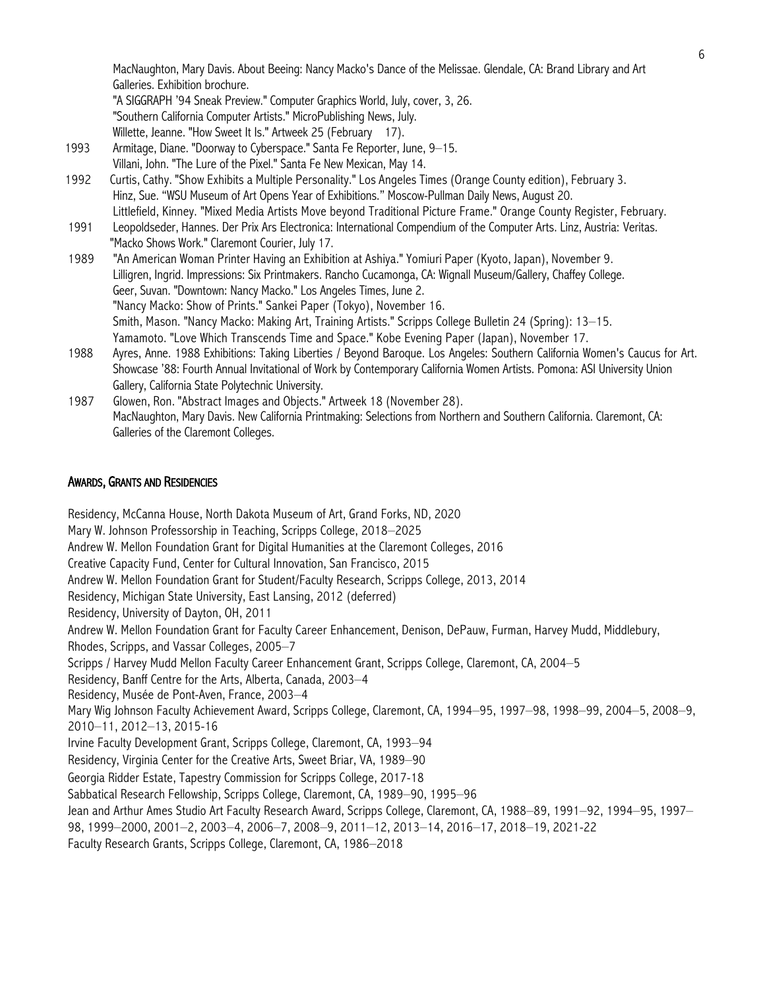MacNaughton, Mary Davis. About Beeing: Nancy Macko's Dance of the Melissae. Glendale, CA: Brand Library and Art Galleries. Exhibition brochure.

"A SIGGRAPH '94 Sneak Preview." Computer Graphics World, July, cover, 3, 26. "Southern California Computer Artists." MicroPublishing News, July.

Willette, Jeanne. "How Sweet It Is." Artweek 25 (February 17).

- 1993 Armitage, Diane. "Doorway to Cyberspace." Santa Fe Reporter, June, 9–15. Villani, John. "The Lure of the Pixel." Santa Fe New Mexican, May 14.
- 1992 Curtis, Cathy. "Show Exhibits a Multiple Personality." Los Angeles Times (Orange County edition), February 3. Hinz, Sue. "WSU Museum of Art Opens Year of Exhibitions." Moscow-Pullman Daily News, August 20. Littlefield, Kinney. "Mixed Media Artists Move beyond Traditional Picture Frame." Orange County Register, February.
- 1991 Leopoldseder, Hannes. Der Prix Ars Electronica: International Compendium of the Computer Arts. Linz, Austria: Veritas. "Macko Shows Work." Claremont Courier, July 17.
- 1989 "An American Woman Printer Having an Exhibition at Ashiya." Yomiuri Paper (Kyoto, Japan), November 9. Lilligren, Ingrid. Impressions: Six Printmakers. Rancho Cucamonga, CA: Wignall Museum/Gallery, Chaffey College. Geer, Suvan. "Downtown: Nancy Macko." Los Angeles Times, June 2. "Nancy Macko: Show of Prints." Sankei Paper (Tokyo), November 16. Smith, Mason. "Nancy Macko: Making Art, Training Artists." Scripps College Bulletin 24 (Spring): 13–15. Yamamoto. "Love Which Transcends Time and Space." Kobe Evening Paper (Japan), November 17.
- 1988 Ayres, Anne. 1988 Exhibitions: Taking Liberties / Beyond Baroque. Los Angeles: Southern California Women's Caucus for Art. Showcase '88: Fourth Annual Invitational of Work by Contemporary California Women Artists. Pomona: ASI University Union Gallery, California State Polytechnic University.
- 1987 Glowen, Ron. "Abstract Images and Objects." Artweek 18 (November 28). MacNaughton, Mary Davis. New California Printmaking: Selections from Northern and Southern California. Claremont, CA: Galleries of the Claremont Colleges.

### AWARDS, GRANTS AND RESIDENCIES

Residency, McCanna House, North Dakota Museum of Art, Grand Forks, ND, 2020 Mary W. Johnson Professorship in Teaching, Scripps College, 2018–2025 Andrew W. Mellon Foundation Grant for Digital Humanities at the Claremont Colleges, 2016 Creative Capacity Fund, Center for Cultural Innovation, San Francisco, 2015 Andrew W. Mellon Foundation Grant for Student/Faculty Research, Scripps College, 2013, 2014 Residency, Michigan State University, East Lansing, 2012 (deferred) Residency, University of Dayton, OH, 2011 Andrew W. Mellon Foundation Grant for Faculty Career Enhancement, Denison, DePauw, Furman, Harvey Mudd, Middlebury, Rhodes, Scripps, and Vassar Colleges, 2005–7 Scripps / Harvey Mudd Mellon Faculty Career Enhancement Grant, Scripps College, Claremont, CA, 2004–5 Residency, Banff Centre for the Arts, Alberta, Canada, 2003–4 Residency, Musée de Pont-Aven, France, 2003–4 Mary Wig Johnson Faculty Achievement Award, Scripps College, Claremont, CA, 1994–95, 1997–98, 1998–99, 2004–5, 2008–9, 2010–11, 2012–13, 2015-16 Irvine Faculty Development Grant, Scripps College, Claremont, CA, 1993–94 Residency, Virginia Center for the Creative Arts, Sweet Briar, VA, 1989–90 Georgia Ridder Estate, Tapestry Commission for Scripps College, 2017-18 Sabbatical Research Fellowship, Scripps College, Claremont, CA, 1989–90, 1995–96 Jean and Arthur Ames Studio Art Faculty Research Award, Scripps College, Claremont, CA, 1988–89, 1991–92, 1994–95, 1997– 98, 1999–2000, 2001–2, 2003–4, 2006–7, 2008–9, 2011–12, 2013–14, 2016–17, 2018–19, 2021-22 Faculty Research Grants, Scripps College, Claremont, CA, 1986–2018